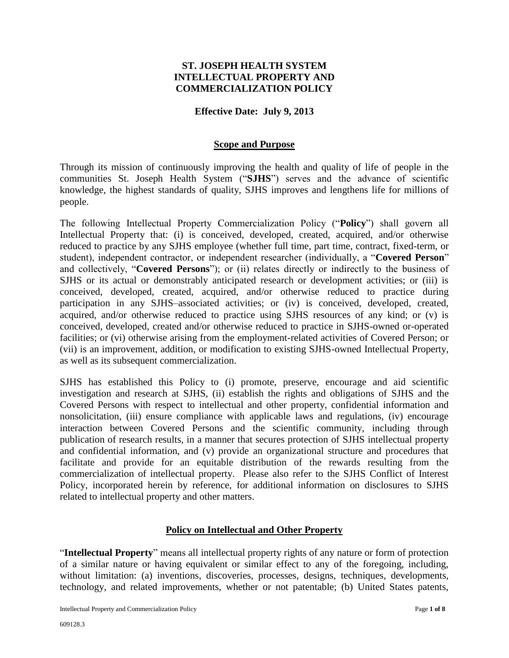# **ST. JOSEPH HEALTH SYSTEM INTELLECTUAL PROPERTY AND COMMERCIALIZATION POLICY**

## **Effective Date: July 9, 2013**

### **Scope and Purpose**

Through its mission of continuously improving the health and quality of life of people in the communities St. Joseph Health System ("**SJHS**") serves and the advance of scientific knowledge, the highest standards of quality, SJHS improves and lengthens life for millions of people.

The following Intellectual Property Commercialization Policy ("**Policy**") shall govern all Intellectual Property that: (i) is conceived, developed, created, acquired, and/or otherwise reduced to practice by any SJHS employee (whether full time, part time, contract, fixed-term, or student), independent contractor, or independent researcher (individually, a "**Covered Person**" and collectively, "**Covered Persons**"); or (ii) relates directly or indirectly to the business of SJHS or its actual or demonstrably anticipated research or development activities; or (iii) is conceived, developed, created, acquired, and/or otherwise reduced to practice during participation in any SJHS–associated activities; or (iv) is conceived, developed, created, acquired, and/or otherwise reduced to practice using SJHS resources of any kind; or (v) is conceived, developed, created and/or otherwise reduced to practice in SJHS-owned or-operated facilities; or (vi) otherwise arising from the employment-related activities of Covered Person; or (vii) is an improvement, addition, or modification to existing SJHS-owned Intellectual Property, as well as its subsequent commercialization.

SJHS has established this Policy to (i) promote, preserve, encourage and aid scientific investigation and research at SJHS, (ii) establish the rights and obligations of SJHS and the Covered Persons with respect to intellectual and other property, confidential information and nonsolicitation, (iii) ensure compliance with applicable laws and regulations, (iv) encourage interaction between Covered Persons and the scientific community, including through publication of research results, in a manner that secures protection of SJHS intellectual property and confidential information, and (v) provide an organizational structure and procedures that facilitate and provide for an equitable distribution of the rewards resulting from the commercialization of intellectual property. Please also refer to the SJHS Conflict of Interest Policy, incorporated herein by reference, for additional information on disclosures to SJHS related to intellectual property and other matters.

## **Policy on Intellectual and Other Property**

"**Intellectual Property**" means all intellectual property rights of any nature or form of protection of a similar nature or having equivalent or similar effect to any of the foregoing, including, without limitation: (a) inventions, discoveries, processes, designs, techniques, developments, technology, and related improvements, whether or not patentable; (b) United States patents,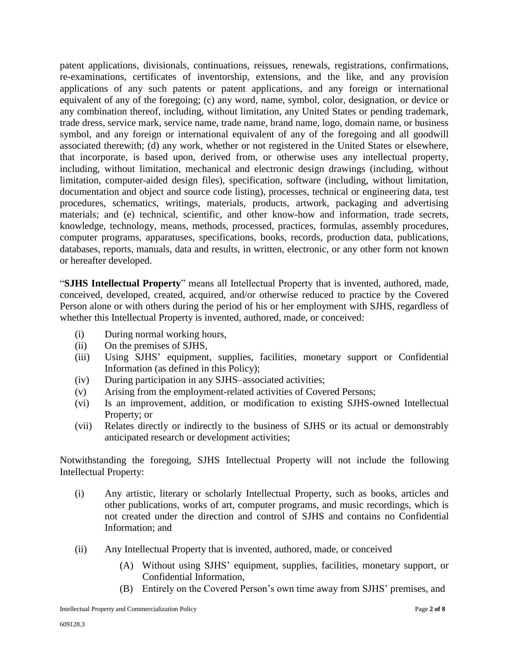patent applications, divisionals, continuations, reissues, renewals, registrations, confirmations, re-examinations, certificates of inventorship, extensions, and the like, and any provision applications of any such patents or patent applications, and any foreign or international equivalent of any of the foregoing; (c) any word, name, symbol, color, designation, or device or any combination thereof, including, without limitation, any United States or pending trademark, trade dress, service mark, service name, trade name, brand name, logo, domain name, or business symbol, and any foreign or international equivalent of any of the foregoing and all goodwill associated therewith; (d) any work, whether or not registered in the United States or elsewhere, that incorporate, is based upon, derived from, or otherwise uses any intellectual property, including, without limitation, mechanical and electronic design drawings (including, without limitation, computer-aided design files), specification, software (including, without limitation, documentation and object and source code listing), processes, technical or engineering data, test procedures, schematics, writings, materials, products, artwork, packaging and advertising materials; and (e) technical, scientific, and other know-how and information, trade secrets, knowledge, technology, means, methods, processed, practices, formulas, assembly procedures, computer programs, apparatuses, specifications, books, records, production data, publications, databases, reports, manuals, data and results, in written, electronic, or any other form not known or hereafter developed.

"**SJHS Intellectual Property**" means all Intellectual Property that is invented, authored, made, conceived, developed, created, acquired, and/or otherwise reduced to practice by the Covered Person alone or with others during the period of his or her employment with SJHS, regardless of whether this Intellectual Property is invented, authored, made, or conceived:

- (i) During normal working hours,
- (ii) On the premises of SJHS,
- (iii) Using SJHS' equipment, supplies, facilities, monetary support or Confidential Information (as defined in this Policy);
- (iv) During participation in any SJHS–associated activities;
- (v) Arising from the employment-related activities of Covered Persons;
- (vi) Is an improvement, addition, or modification to existing SJHS-owned Intellectual Property; or
- (vii) Relates directly or indirectly to the business of SJHS or its actual or demonstrably anticipated research or development activities;

Notwithstanding the foregoing, SJHS Intellectual Property will not include the following Intellectual Property:

- (i) Any artistic, literary or scholarly Intellectual Property, such as books, articles and other publications, works of art, computer programs, and music recordings, which is not created under the direction and control of SJHS and contains no Confidential Information; and
- (ii) Any Intellectual Property that is invented, authored, made, or conceived
	- (A) Without using SJHS' equipment, supplies, facilities, monetary support, or Confidential Information,
	- (B) Entirely on the Covered Person's own time away from SJHS' premises, and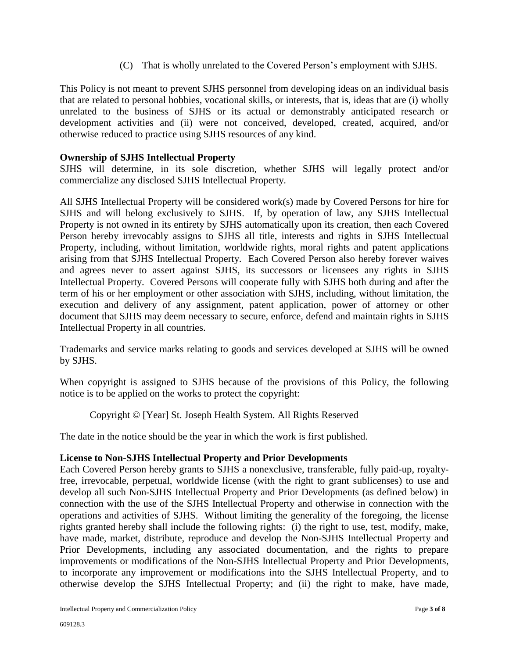(C) That is wholly unrelated to the Covered Person's employment with SJHS.

This Policy is not meant to prevent SJHS personnel from developing ideas on an individual basis that are related to personal hobbies, vocational skills, or interests, that is, ideas that are (i) wholly unrelated to the business of SJHS or its actual or demonstrably anticipated research or development activities and (ii) were not conceived, developed, created, acquired, and/or otherwise reduced to practice using SJHS resources of any kind.

## **Ownership of SJHS Intellectual Property**

SJHS will determine, in its sole discretion, whether SJHS will legally protect and/or commercialize any disclosed SJHS Intellectual Property.

All SJHS Intellectual Property will be considered work(s) made by Covered Persons for hire for SJHS and will belong exclusively to SJHS. If, by operation of law, any SJHS Intellectual Property is not owned in its entirety by SJHS automatically upon its creation, then each Covered Person hereby irrevocably assigns to SJHS all title, interests and rights in SJHS Intellectual Property, including, without limitation, worldwide rights, moral rights and patent applications arising from that SJHS Intellectual Property. Each Covered Person also hereby forever waives and agrees never to assert against SJHS, its successors or licensees any rights in SJHS Intellectual Property. Covered Persons will cooperate fully with SJHS both during and after the term of his or her employment or other association with SJHS, including, without limitation, the execution and delivery of any assignment, patent application, power of attorney or other document that SJHS may deem necessary to secure, enforce, defend and maintain rights in SJHS Intellectual Property in all countries.

Trademarks and service marks relating to goods and services developed at SJHS will be owned by SJHS.

When copyright is assigned to SJHS because of the provisions of this Policy, the following notice is to be applied on the works to protect the copyright:

## Copyright © [Year] St. Joseph Health System. All Rights Reserved

The date in the notice should be the year in which the work is first published.

#### **License to Non-SJHS Intellectual Property and Prior Developments**

Each Covered Person hereby grants to SJHS a nonexclusive, transferable, fully paid-up, royaltyfree, irrevocable, perpetual, worldwide license (with the right to grant sublicenses) to use and develop all such Non-SJHS Intellectual Property and Prior Developments (as defined below) in connection with the use of the SJHS Intellectual Property and otherwise in connection with the operations and activities of SJHS. Without limiting the generality of the foregoing, the license rights granted hereby shall include the following rights: (i) the right to use, test, modify, make, have made, market, distribute, reproduce and develop the Non-SJHS Intellectual Property and Prior Developments, including any associated documentation, and the rights to prepare improvements or modifications of the Non-SJHS Intellectual Property and Prior Developments, to incorporate any improvement or modifications into the SJHS Intellectual Property, and to otherwise develop the SJHS Intellectual Property; and (ii) the right to make, have made,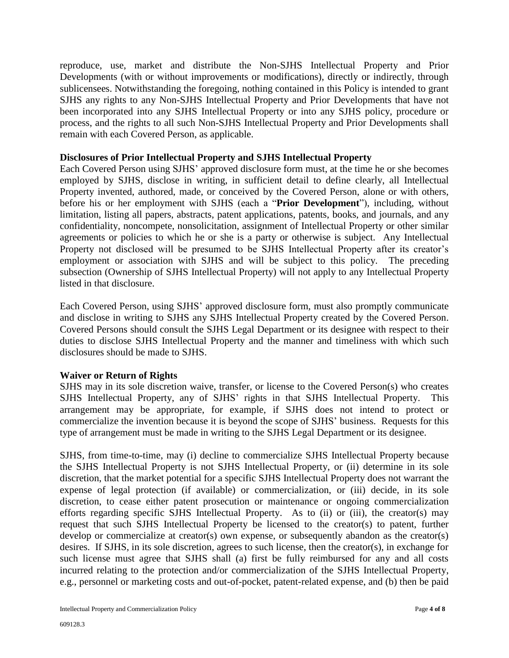reproduce, use, market and distribute the Non-SJHS Intellectual Property and Prior Developments (with or without improvements or modifications), directly or indirectly, through sublicensees. Notwithstanding the foregoing, nothing contained in this Policy is intended to grant SJHS any rights to any Non-SJHS Intellectual Property and Prior Developments that have not been incorporated into any SJHS Intellectual Property or into any SJHS policy, procedure or process, and the rights to all such Non-SJHS Intellectual Property and Prior Developments shall remain with each Covered Person, as applicable.

## **Disclosures of Prior Intellectual Property and SJHS Intellectual Property**

Each Covered Person using SJHS' approved disclosure form must, at the time he or she becomes employed by SJHS, disclose in writing, in sufficient detail to define clearly, all Intellectual Property invented, authored, made, or conceived by the Covered Person, alone or with others, before his or her employment with SJHS (each a "**Prior Development**"), including, without limitation, listing all papers, abstracts, patent applications, patents, books, and journals, and any confidentiality, noncompete, nonsolicitation, assignment of Intellectual Property or other similar agreements or policies to which he or she is a party or otherwise is subject. Any Intellectual Property not disclosed will be presumed to be SJHS Intellectual Property after its creator's employment or association with SJHS and will be subject to this policy. The preceding subsection (Ownership of SJHS Intellectual Property) will not apply to any Intellectual Property listed in that disclosure.

Each Covered Person, using SJHS' approved disclosure form, must also promptly communicate and disclose in writing to SJHS any SJHS Intellectual Property created by the Covered Person. Covered Persons should consult the SJHS Legal Department or its designee with respect to their duties to disclose SJHS Intellectual Property and the manner and timeliness with which such disclosures should be made to SJHS.

## **Waiver or Return of Rights**

SJHS may in its sole discretion waive, transfer, or license to the Covered Person(s) who creates SJHS Intellectual Property, any of SJHS' rights in that SJHS Intellectual Property. This arrangement may be appropriate, for example, if SJHS does not intend to protect or commercialize the invention because it is beyond the scope of SJHS' business. Requests for this type of arrangement must be made in writing to the SJHS Legal Department or its designee.

SJHS, from time-to-time, may (i) decline to commercialize SJHS Intellectual Property because the SJHS Intellectual Property is not SJHS Intellectual Property, or (ii) determine in its sole discretion, that the market potential for a specific SJHS Intellectual Property does not warrant the expense of legal protection (if available) or commercialization, or (iii) decide, in its sole discretion, to cease either patent prosecution or maintenance or ongoing commercialization efforts regarding specific SJHS Intellectual Property. As to (ii) or (iii), the creator(s) may request that such SJHS Intellectual Property be licensed to the creator(s) to patent, further develop or commercialize at creator(s) own expense, or subsequently abandon as the creator(s) desires. If SJHS, in its sole discretion, agrees to such license, then the creator(s), in exchange for such license must agree that SJHS shall (a) first be fully reimbursed for any and all costs incurred relating to the protection and/or commercialization of the SJHS Intellectual Property, e.g., personnel or marketing costs and out-of-pocket, patent-related expense, and (b) then be paid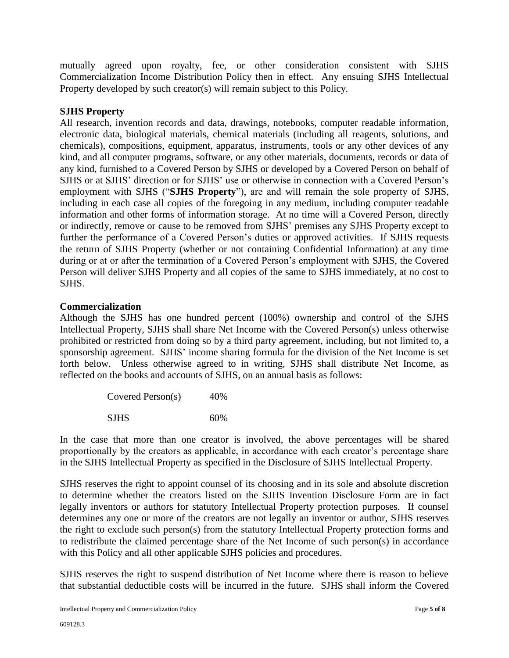mutually agreed upon royalty, fee, or other consideration consistent with SJHS Commercialization Income Distribution Policy then in effect. Any ensuing SJHS Intellectual Property developed by such creator(s) will remain subject to this Policy.

# **SJHS Property**

All research, invention records and data, drawings, notebooks, computer readable information, electronic data, biological materials, chemical materials (including all reagents, solutions, and chemicals), compositions, equipment, apparatus, instruments, tools or any other devices of any kind, and all computer programs, software, or any other materials, documents, records or data of any kind, furnished to a Covered Person by SJHS or developed by a Covered Person on behalf of SJHS or at SJHS' direction or for SJHS' use or otherwise in connection with a Covered Person's employment with SJHS ("**SJHS Property**"), are and will remain the sole property of SJHS, including in each case all copies of the foregoing in any medium, including computer readable information and other forms of information storage. At no time will a Covered Person, directly or indirectly, remove or cause to be removed from SJHS' premises any SJHS Property except to further the performance of a Covered Person's duties or approved activities. If SJHS requests the return of SJHS Property (whether or not containing Confidential Information) at any time during or at or after the termination of a Covered Person's employment with SJHS, the Covered Person will deliver SJHS Property and all copies of the same to SJHS immediately, at no cost to SJHS.

# **Commercialization**

Although the SJHS has one hundred percent (100%) ownership and control of the SJHS Intellectual Property, SJHS shall share Net Income with the Covered Person(s) unless otherwise prohibited or restricted from doing so by a third party agreement, including, but not limited to, a sponsorship agreement. SJHS' income sharing formula for the division of the Net Income is set forth below. Unless otherwise agreed to in writing, SJHS shall distribute Net Income, as reflected on the books and accounts of SJHS, on an annual basis as follows:

| Covered Person(s) | 40% |
|-------------------|-----|
| <b>SJHS</b>       | 60% |

In the case that more than one creator is involved, the above percentages will be shared proportionally by the creators as applicable, in accordance with each creator's percentage share in the SJHS Intellectual Property as specified in the Disclosure of SJHS Intellectual Property.

SJHS reserves the right to appoint counsel of its choosing and in its sole and absolute discretion to determine whether the creators listed on the SJHS Invention Disclosure Form are in fact legally inventors or authors for statutory Intellectual Property protection purposes. If counsel determines any one or more of the creators are not legally an inventor or author, SJHS reserves the right to exclude such person(s) from the statutory Intellectual Property protection forms and to redistribute the claimed percentage share of the Net Income of such person(s) in accordance with this Policy and all other applicable SJHS policies and procedures.

SJHS reserves the right to suspend distribution of Net Income where there is reason to believe that substantial deductible costs will be incurred in the future. SJHS shall inform the Covered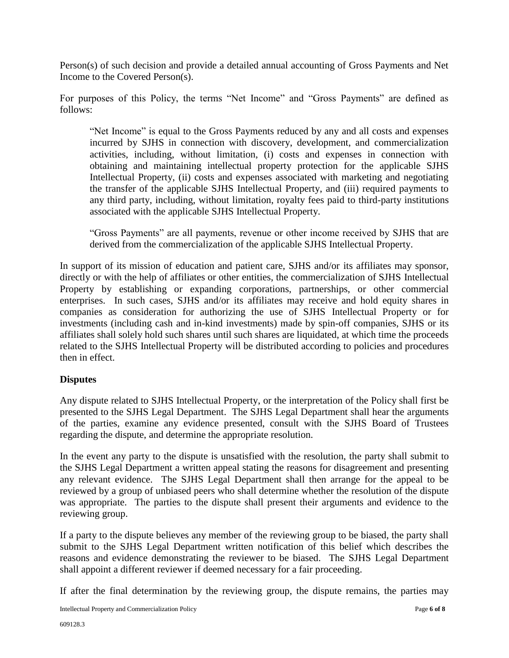Person(s) of such decision and provide a detailed annual accounting of Gross Payments and Net Income to the Covered Person(s).

For purposes of this Policy, the terms "Net Income" and "Gross Payments" are defined as follows:

"Net Income" is equal to the Gross Payments reduced by any and all costs and expenses incurred by SJHS in connection with discovery, development, and commercialization activities, including, without limitation, (i) costs and expenses in connection with obtaining and maintaining intellectual property protection for the applicable SJHS Intellectual Property, (ii) costs and expenses associated with marketing and negotiating the transfer of the applicable SJHS Intellectual Property, and (iii) required payments to any third party, including, without limitation, royalty fees paid to third-party institutions associated with the applicable SJHS Intellectual Property.

"Gross Payments" are all payments, revenue or other income received by SJHS that are derived from the commercialization of the applicable SJHS Intellectual Property.

In support of its mission of education and patient care, SJHS and/or its affiliates may sponsor, directly or with the help of affiliates or other entities, the commercialization of SJHS Intellectual Property by establishing or expanding corporations, partnerships, or other commercial enterprises. In such cases, SJHS and/or its affiliates may receive and hold equity shares in companies as consideration for authorizing the use of SJHS Intellectual Property or for investments (including cash and in-kind investments) made by spin-off companies, SJHS or its affiliates shall solely hold such shares until such shares are liquidated, at which time the proceeds related to the SJHS Intellectual Property will be distributed according to policies and procedures then in effect.

# **Disputes**

Any dispute related to SJHS Intellectual Property, or the interpretation of the Policy shall first be presented to the SJHS Legal Department. The SJHS Legal Department shall hear the arguments of the parties, examine any evidence presented, consult with the SJHS Board of Trustees regarding the dispute, and determine the appropriate resolution.

In the event any party to the dispute is unsatisfied with the resolution, the party shall submit to the SJHS Legal Department a written appeal stating the reasons for disagreement and presenting any relevant evidence. The SJHS Legal Department shall then arrange for the appeal to be reviewed by a group of unbiased peers who shall determine whether the resolution of the dispute was appropriate. The parties to the dispute shall present their arguments and evidence to the reviewing group.

If a party to the dispute believes any member of the reviewing group to be biased, the party shall submit to the SJHS Legal Department written notification of this belief which describes the reasons and evidence demonstrating the reviewer to be biased. The SJHS Legal Department shall appoint a different reviewer if deemed necessary for a fair proceeding.

If after the final determination by the reviewing group, the dispute remains, the parties may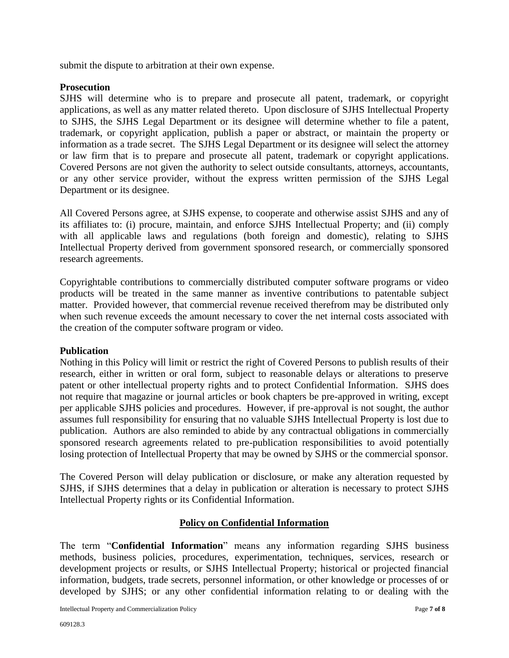submit the dispute to arbitration at their own expense.

## **Prosecution**

SJHS will determine who is to prepare and prosecute all patent, trademark, or copyright applications, as well as any matter related thereto. Upon disclosure of SJHS Intellectual Property to SJHS, the SJHS Legal Department or its designee will determine whether to file a patent, trademark, or copyright application, publish a paper or abstract, or maintain the property or information as a trade secret. The SJHS Legal Department or its designee will select the attorney or law firm that is to prepare and prosecute all patent, trademark or copyright applications. Covered Persons are not given the authority to select outside consultants, attorneys, accountants, or any other service provider, without the express written permission of the SJHS Legal Department or its designee.

All Covered Persons agree, at SJHS expense, to cooperate and otherwise assist SJHS and any of its affiliates to: (i) procure, maintain, and enforce SJHS Intellectual Property; and (ii) comply with all applicable laws and regulations (both foreign and domestic), relating to SJHS Intellectual Property derived from government sponsored research, or commercially sponsored research agreements.

Copyrightable contributions to commercially distributed computer software programs or video products will be treated in the same manner as inventive contributions to patentable subject matter. Provided however, that commercial revenue received therefrom may be distributed only when such revenue exceeds the amount necessary to cover the net internal costs associated with the creation of the computer software program or video.

## **Publication**

Nothing in this Policy will limit or restrict the right of Covered Persons to publish results of their research, either in written or oral form, subject to reasonable delays or alterations to preserve patent or other intellectual property rights and to protect Confidential Information. SJHS does not require that magazine or journal articles or book chapters be pre-approved in writing, except per applicable SJHS policies and procedures. However, if pre-approval is not sought, the author assumes full responsibility for ensuring that no valuable SJHS Intellectual Property is lost due to publication. Authors are also reminded to abide by any contractual obligations in commercially sponsored research agreements related to pre-publication responsibilities to avoid potentially losing protection of Intellectual Property that may be owned by SJHS or the commercial sponsor.

The Covered Person will delay publication or disclosure, or make any alteration requested by SJHS, if SJHS determines that a delay in publication or alteration is necessary to protect SJHS Intellectual Property rights or its Confidential Information.

## **Policy on Confidential Information**

The term "**Confidential Information**" means any information regarding SJHS business methods, business policies, procedures, experimentation, techniques, services, research or development projects or results, or SJHS Intellectual Property; historical or projected financial information, budgets, trade secrets, personnel information, or other knowledge or processes of or developed by SJHS; or any other confidential information relating to or dealing with the